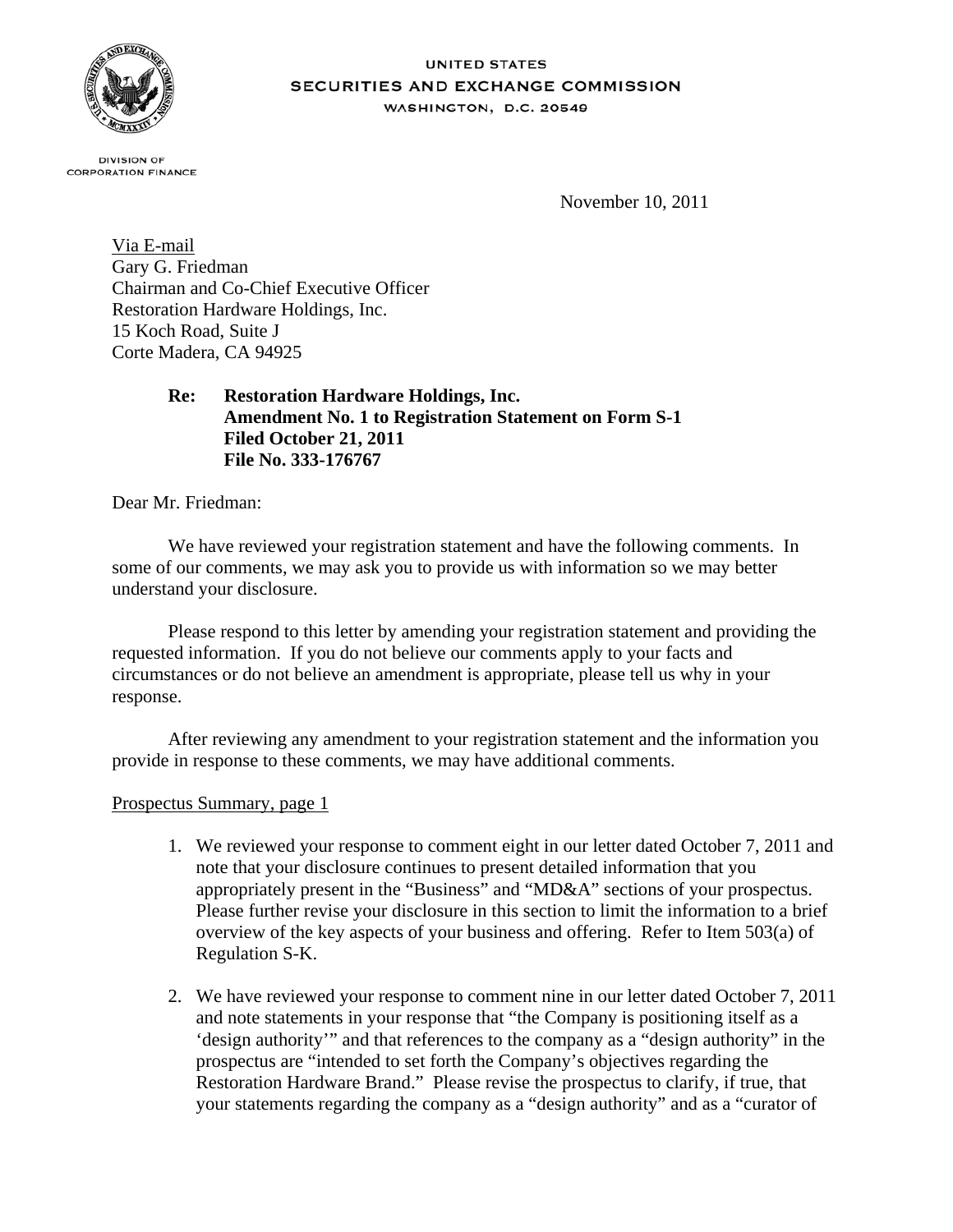

#### **UNITED STATES** SECURITIES AND EXCHANGE COMMISSION **WASHINGTON, D.C. 20549**

**DIVISION OF CORPORATION FINANCE** 

November 10, 2011

Via E-mail Gary G. Friedman Chairman and Co-Chief Executive Officer Restoration Hardware Holdings, Inc. 15 Koch Road, Suite J Corte Madera, CA 94925

> **Re: Restoration Hardware Holdings, Inc. Amendment No. 1 to Registration Statement on Form S-1 Filed October 21, 2011 File No. 333-176767**

Dear Mr. Friedman:

We have reviewed your registration statement and have the following comments. In some of our comments, we may ask you to provide us with information so we may better understand your disclosure.

Please respond to this letter by amending your registration statement and providing the requested information. If you do not believe our comments apply to your facts and circumstances or do not believe an amendment is appropriate, please tell us why in your response.

After reviewing any amendment to your registration statement and the information you provide in response to these comments, we may have additional comments.

Prospectus Summary, page 1

- 1. We reviewed your response to comment eight in our letter dated October 7, 2011 and note that your disclosure continues to present detailed information that you appropriately present in the "Business" and "MD&A" sections of your prospectus. Please further revise your disclosure in this section to limit the information to a brief overview of the key aspects of your business and offering. Refer to Item 503(a) of Regulation S-K.
- 2. We have reviewed your response to comment nine in our letter dated October 7, 2011 and note statements in your response that "the Company is positioning itself as a 'design authority'" and that references to the company as a "design authority" in the prospectus are "intended to set forth the Company's objectives regarding the Restoration Hardware Brand." Please revise the prospectus to clarify, if true, that your statements regarding the company as a "design authority" and as a "curator of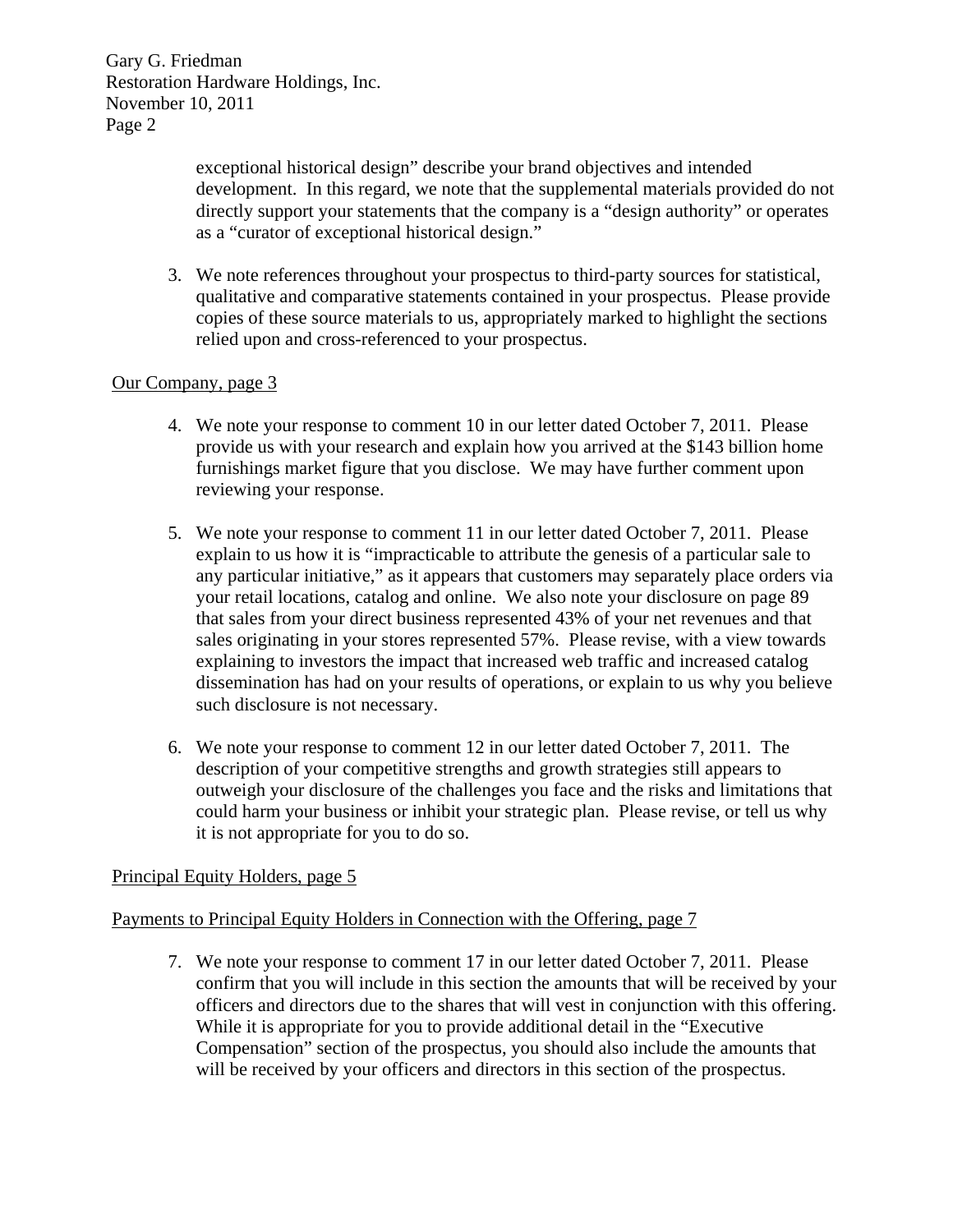> exceptional historical design" describe your brand objectives and intended development. In this regard, we note that the supplemental materials provided do not directly support your statements that the company is a "design authority" or operates as a "curator of exceptional historical design."

3. We note references throughout your prospectus to third-party sources for statistical, qualitative and comparative statements contained in your prospectus. Please provide copies of these source materials to us, appropriately marked to highlight the sections relied upon and cross-referenced to your prospectus.

## Our Company, page 3

- 4. We note your response to comment 10 in our letter dated October 7, 2011. Please provide us with your research and explain how you arrived at the \$143 billion home furnishings market figure that you disclose. We may have further comment upon reviewing your response.
- 5. We note your response to comment 11 in our letter dated October 7, 2011. Please explain to us how it is "impracticable to attribute the genesis of a particular sale to any particular initiative," as it appears that customers may separately place orders via your retail locations, catalog and online. We also note your disclosure on page 89 that sales from your direct business represented 43% of your net revenues and that sales originating in your stores represented 57%. Please revise, with a view towards explaining to investors the impact that increased web traffic and increased catalog dissemination has had on your results of operations, or explain to us why you believe such disclosure is not necessary.
- 6. We note your response to comment 12 in our letter dated October 7, 2011. The description of your competitive strengths and growth strategies still appears to outweigh your disclosure of the challenges you face and the risks and limitations that could harm your business or inhibit your strategic plan. Please revise, or tell us why it is not appropriate for you to do so.

## Principal Equity Holders, page 5

## Payments to Principal Equity Holders in Connection with the Offering, page 7

7. We note your response to comment 17 in our letter dated October 7, 2011. Please confirm that you will include in this section the amounts that will be received by your officers and directors due to the shares that will vest in conjunction with this offering. While it is appropriate for you to provide additional detail in the "Executive Compensation" section of the prospectus, you should also include the amounts that will be received by your officers and directors in this section of the prospectus.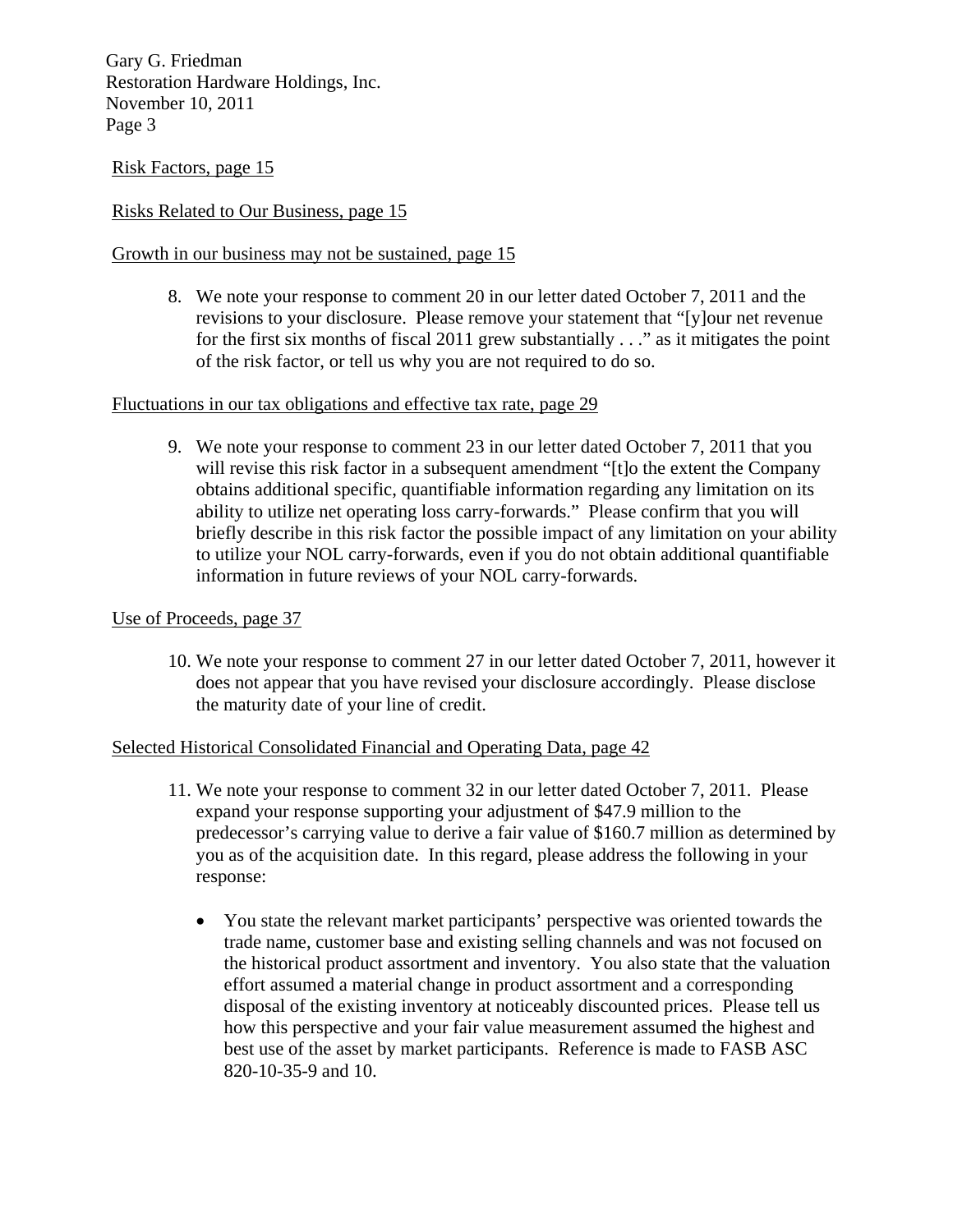Risk Factors, page 15

## Risks Related to Our Business, page 15

## Growth in our business may not be sustained, page 15

8. We note your response to comment 20 in our letter dated October 7, 2011 and the revisions to your disclosure. Please remove your statement that "[y]our net revenue for the first six months of fiscal 2011 grew substantially . . ." as it mitigates the point of the risk factor, or tell us why you are not required to do so.

### Fluctuations in our tax obligations and effective tax rate, page 29

9. We note your response to comment 23 in our letter dated October 7, 2011 that you will revise this risk factor in a subsequent amendment "[t]o the extent the Company obtains additional specific, quantifiable information regarding any limitation on its ability to utilize net operating loss carry-forwards." Please confirm that you will briefly describe in this risk factor the possible impact of any limitation on your ability to utilize your NOL carry-forwards, even if you do not obtain additional quantifiable information in future reviews of your NOL carry-forwards.

#### Use of Proceeds, page 37

10. We note your response to comment 27 in our letter dated October 7, 2011, however it does not appear that you have revised your disclosure accordingly. Please disclose the maturity date of your line of credit.

## Selected Historical Consolidated Financial and Operating Data, page 42

- 11. We note your response to comment 32 in our letter dated October 7, 2011. Please expand your response supporting your adjustment of \$47.9 million to the predecessor's carrying value to derive a fair value of \$160.7 million as determined by you as of the acquisition date. In this regard, please address the following in your response:
	- You state the relevant market participants' perspective was oriented towards the trade name, customer base and existing selling channels and was not focused on the historical product assortment and inventory. You also state that the valuation effort assumed a material change in product assortment and a corresponding disposal of the existing inventory at noticeably discounted prices. Please tell us how this perspective and your fair value measurement assumed the highest and best use of the asset by market participants. Reference is made to FASB ASC 820-10-35-9 and 10.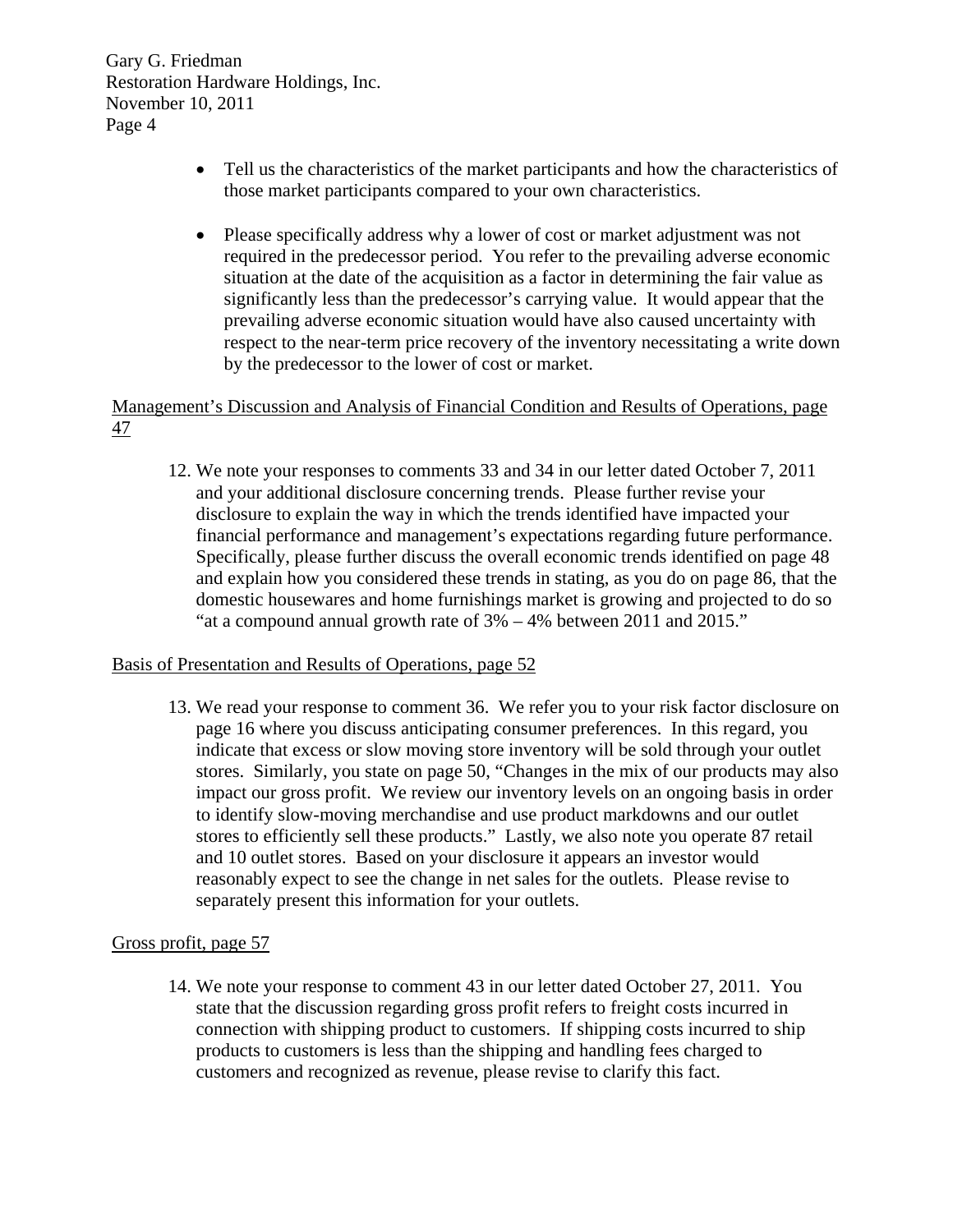- Tell us the characteristics of the market participants and how the characteristics of those market participants compared to your own characteristics.
- Please specifically address why a lower of cost or market adjustment was not required in the predecessor period. You refer to the prevailing adverse economic situation at the date of the acquisition as a factor in determining the fair value as significantly less than the predecessor's carrying value. It would appear that the prevailing adverse economic situation would have also caused uncertainty with respect to the near-term price recovery of the inventory necessitating a write down by the predecessor to the lower of cost or market.

# Management's Discussion and Analysis of Financial Condition and Results of Operations, page 47

12. We note your responses to comments 33 and 34 in our letter dated October 7, 2011 and your additional disclosure concerning trends. Please further revise your disclosure to explain the way in which the trends identified have impacted your financial performance and management's expectations regarding future performance. Specifically, please further discuss the overall economic trends identified on page 48 and explain how you considered these trends in stating, as you do on page 86, that the domestic housewares and home furnishings market is growing and projected to do so "at a compound annual growth rate of 3% – 4% between 2011 and 2015."

## Basis of Presentation and Results of Operations, page 52

13. We read your response to comment 36. We refer you to your risk factor disclosure on page 16 where you discuss anticipating consumer preferences. In this regard, you indicate that excess or slow moving store inventory will be sold through your outlet stores. Similarly, you state on page 50, "Changes in the mix of our products may also impact our gross profit. We review our inventory levels on an ongoing basis in order to identify slow-moving merchandise and use product markdowns and our outlet stores to efficiently sell these products." Lastly, we also note you operate 87 retail and 10 outlet stores. Based on your disclosure it appears an investor would reasonably expect to see the change in net sales for the outlets. Please revise to separately present this information for your outlets.

## Gross profit, page 57

14. We note your response to comment 43 in our letter dated October 27, 2011. You state that the discussion regarding gross profit refers to freight costs incurred in connection with shipping product to customers. If shipping costs incurred to ship products to customers is less than the shipping and handling fees charged to customers and recognized as revenue, please revise to clarify this fact.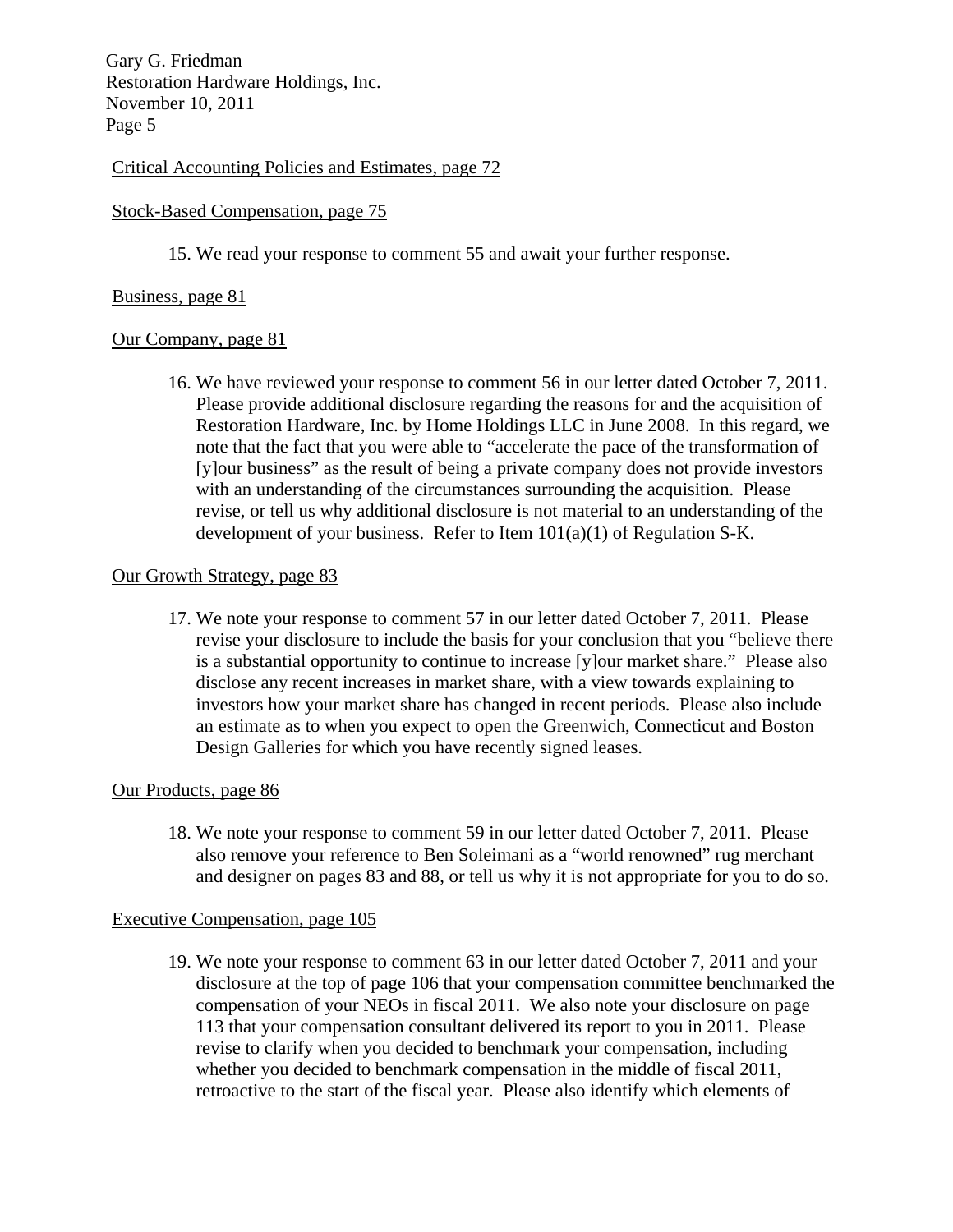### Critical Accounting Policies and Estimates, page 72

#### Stock-Based Compensation, page 75

15. We read your response to comment 55 and await your further response.

#### Business, page 81

#### Our Company, page 81

16. We have reviewed your response to comment 56 in our letter dated October 7, 2011. Please provide additional disclosure regarding the reasons for and the acquisition of Restoration Hardware, Inc. by Home Holdings LLC in June 2008. In this regard, we note that the fact that you were able to "accelerate the pace of the transformation of [y]our business" as the result of being a private company does not provide investors with an understanding of the circumstances surrounding the acquisition. Please revise, or tell us why additional disclosure is not material to an understanding of the development of your business. Refer to Item  $101(a)(1)$  of Regulation S-K.

#### Our Growth Strategy, page 83

17. We note your response to comment 57 in our letter dated October 7, 2011. Please revise your disclosure to include the basis for your conclusion that you "believe there is a substantial opportunity to continue to increase [y]our market share." Please also disclose any recent increases in market share, with a view towards explaining to investors how your market share has changed in recent periods. Please also include an estimate as to when you expect to open the Greenwich, Connecticut and Boston Design Galleries for which you have recently signed leases.

#### Our Products, page 86

18. We note your response to comment 59 in our letter dated October 7, 2011. Please also remove your reference to Ben Soleimani as a "world renowned" rug merchant and designer on pages 83 and 88, or tell us why it is not appropriate for you to do so.

#### Executive Compensation, page 105

19. We note your response to comment 63 in our letter dated October 7, 2011 and your disclosure at the top of page 106 that your compensation committee benchmarked the compensation of your NEOs in fiscal 2011. We also note your disclosure on page 113 that your compensation consultant delivered its report to you in 2011. Please revise to clarify when you decided to benchmark your compensation, including whether you decided to benchmark compensation in the middle of fiscal 2011, retroactive to the start of the fiscal year. Please also identify which elements of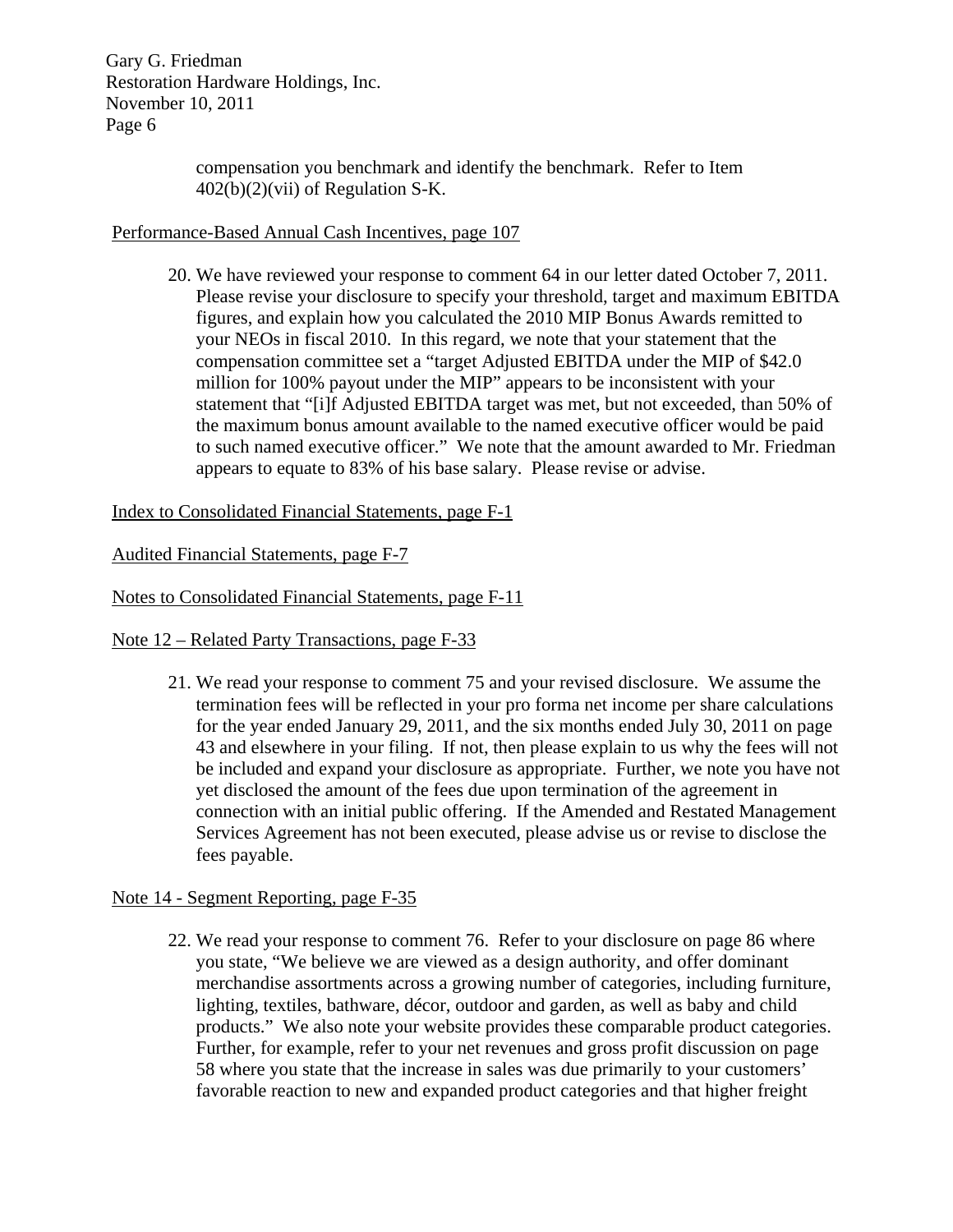> compensation you benchmark and identify the benchmark. Refer to Item 402(b)(2)(vii) of Regulation S-K.

## Performance-Based Annual Cash Incentives, page 107

20. We have reviewed your response to comment 64 in our letter dated October 7, 2011. Please revise your disclosure to specify your threshold, target and maximum EBITDA figures, and explain how you calculated the 2010 MIP Bonus Awards remitted to your NEOs in fiscal 2010. In this regard, we note that your statement that the compensation committee set a "target Adjusted EBITDA under the MIP of \$42.0 million for 100% payout under the MIP" appears to be inconsistent with your statement that "[i]f Adjusted EBITDA target was met, but not exceeded, than 50% of the maximum bonus amount available to the named executive officer would be paid to such named executive officer." We note that the amount awarded to Mr. Friedman appears to equate to 83% of his base salary. Please revise or advise.

## Index to Consolidated Financial Statements, page F-1

#### Audited Financial Statements, page F-7

#### Notes to Consolidated Financial Statements, page F-11

Note 12 – Related Party Transactions, page F-33

21. We read your response to comment 75 and your revised disclosure. We assume the termination fees will be reflected in your pro forma net income per share calculations for the year ended January 29, 2011, and the six months ended July 30, 2011 on page 43 and elsewhere in your filing. If not, then please explain to us why the fees will not be included and expand your disclosure as appropriate. Further, we note you have not yet disclosed the amount of the fees due upon termination of the agreement in connection with an initial public offering. If the Amended and Restated Management Services Agreement has not been executed, please advise us or revise to disclose the fees payable.

## Note 14 - Segment Reporting, page F-35

22. We read your response to comment 76. Refer to your disclosure on page 86 where you state, "We believe we are viewed as a design authority, and offer dominant merchandise assortments across a growing number of categories, including furniture, lighting, textiles, bathware, décor, outdoor and garden, as well as baby and child products." We also note your website provides these comparable product categories. Further, for example, refer to your net revenues and gross profit discussion on page 58 where you state that the increase in sales was due primarily to your customers' favorable reaction to new and expanded product categories and that higher freight